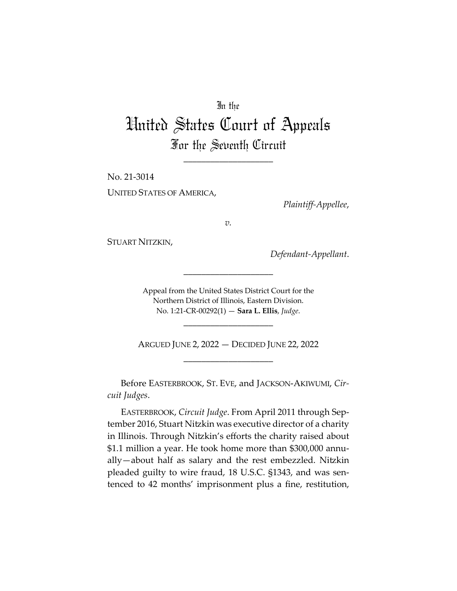## In the

## United States Court of Appeals For the Seventh Circuit

\_\_\_\_\_\_\_\_\_\_\_\_\_\_\_\_\_\_\_\_

No. 21-3014 UNITED STATES OF AMERICA,

*Plaintiff-Appellee*,

*v.*

STUART NITZKIN,

*Defendant-Appellant*.

Appeal from the United States District Court for the Northern District of Illinois, Eastern Division. No. 1:21-CR-00292(1) — **Sara L. Ellis**, *Judge*.

\_\_\_\_\_\_\_\_\_\_\_\_\_\_\_\_\_\_\_\_

\_\_\_\_\_\_\_\_\_\_\_\_\_\_\_\_\_\_\_\_

ARGUED JUNE 2, 2022 — DECIDED JUNE 22, 2022 \_\_\_\_\_\_\_\_\_\_\_\_\_\_\_\_\_\_\_\_

Before EASTERBROOK, ST. EVE, and JACKSON-AKIWUMI, *Circuit Judges*.

EASTERBROOK, *Circuit Judge*. From April 2011 through September 2016, Stuart Nitzkin was executive director of a charity in Illinois. Through Nitzkin's efforts the charity raised about \$1.1 million a year. He took home more than \$300,000 annually-about half as salary and the rest embezzled. Nitzkin pleaded guilty to wire fraud, 18 U.S.C. §1343, and was sentenced to 42 months' imprisonment plus a fine, restitution,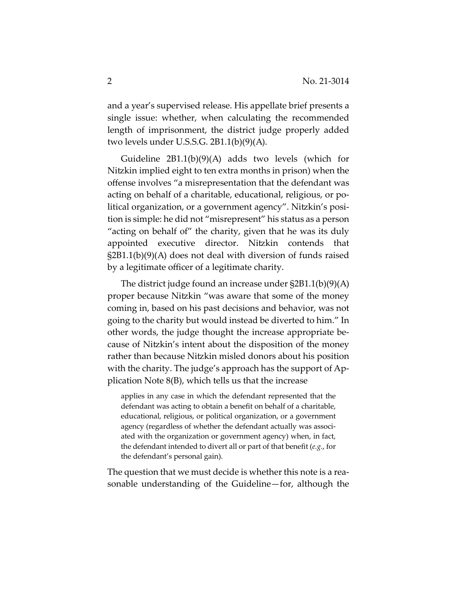and a year's supervised release. His appellate brief presents a single issue: whether, when calculating the recommended length of imprisonment, the district judge properly added two levels under U.S.S.G. 2B1.1(b)(9)(A).

Guideline  $2B1.1(b)(9)(A)$  adds two levels (which for Nitzkin implied eight to ten extra months in prison) when the offense involves "a misrepresentation that the defendant was acting on behalf of a charitable, educational, religious, or political organization, or a government agency". Nitzkin's position is simple: he did not "misrepresent" his status as a person "acting on behalf of" the charity, given that he was its duly appointed executive director. Nitzkin contends that §2B1.1(b)(9)(A) does not deal with diversion of funds raised by a legitimate officer of a legitimate charity.

The district judge found an increase under §2B1.1(b)(9)(A) proper because Nitzkin "was aware that some of the money coming in, based on his past decisions and behavior, was not going to the charity but would instead be diverted to him." In other words, the judge thought the increase appropriate because of Nitzkin's intent about the disposition of the money rather than because Nitzkin misled donors about his position with the charity. The judge's approach has the support of Application Note 8(B), which tells us that the increase

applies in any case in which the defendant represented that the defendant was acting to obtain a benefit on behalf of a charitable, educational, religious, or political organization, or a government agency (regardless of whether the defendant actually was associated with the organization or government agency) when, in fact, the defendant intended to divert all or part of that benefit (*e.g.*, for the defendant's personal gain).

The question that we must decide is whether this note is a reasonable understanding of the Guideline—for, although the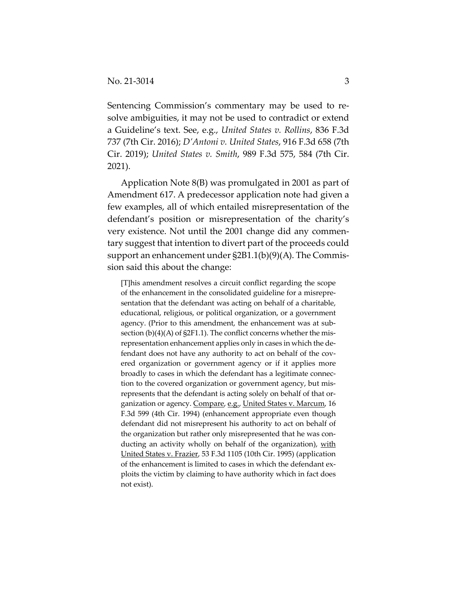Sentencing Commission's commentary may be used to resolve ambiguities, it may not be used to contradict or extend a Guideline's text. See, e.g., *United States v. Rollins*, 836 F.3d 737 (7th Cir. 2016); *D'Antoni v. United States*, 916 F.3d 658 (7th Cir. 2019); *United States v. Smith*, 989 F.3d 575, 584 (7th Cir. 2021).

Application Note 8(B) was promulgated in 2001 as part of Amendment 617. A predecessor application note had given a few examples, all of which entailed misrepresentation of the defendant's position or misrepresentation of the charity's very existence. Not until the 2001 change did any commentary suggest that intention to divert part of the proceeds could support an enhancement under §2B1.1(b)(9)(A). The Commission said this about the change:

[T]his amendment resolves a circuit conflict regarding the scope of the enhancement in the consolidated guideline for a misrepresentation that the defendant was acting on behalf of a charitable, educational, religious, or political organization, or a government agency. (Prior to this amendment, the enhancement was at subsection (b)(4)(A) of §2F1.1). The conflict concerns whether the misrepresentation enhancement applies only in cases in which the defendant does not have any authority to act on behalf of the covered organization or government agency or if it applies more broadly to cases in which the defendant has a legitimate connection to the covered organization or government agency, but misrepresents that the defendant is acting solely on behalf of that organization or agency. Compare, e.g., United States v. Marcum, 16 F.3d 599 (4th Cir. 1994) (enhancement appropriate even though defendant did not misrepresent his authority to act on behalf of the organization but rather only misrepresented that he was conducting an activity wholly on behalf of the organization), with United States v. Frazier, 53 F.3d 1105 (10th Cir. 1995) (application of the enhancement is limited to cases in which the defendant exploits the victim by claiming to have authority which in fact does not exist).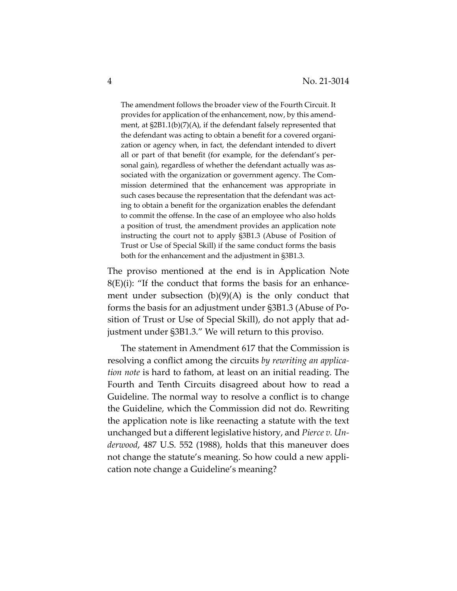The amendment follows the broader view of the Fourth Circuit. It provides for application of the enhancement, now, by this amendment, at §2B1.1(b)(7)(A), if the defendant falsely represented that the defendant was acting to obtain a benefit for a covered organization or agency when, in fact, the defendant intended to divert all or part of that benefit (for example, for the defendant's personal gain), regardless of whether the defendant actually was associated with the organization or government agency. The Commission determined that the enhancement was appropriate in such cases because the representation that the defendant was acting to obtain a benefit for the organization enables the defendant to commit the offense. In the case of an employee who also holds a position of trust, the amendment provides an application note instructing the court not to apply §3B1.3 (Abuse of Position of Trust or Use of Special Skill) if the same conduct forms the basis both for the enhancement and the adjustment in §3B1.3.

The proviso mentioned at the end is in Application Note  $8(E)(i)$ : "If the conduct that forms the basis for an enhancement under subsection  $(b)(9)(A)$  is the only conduct that forms the basis for an adjustment under §3B1.3 (Abuse of Position of Trust or Use of Special Skill), do not apply that adjustment under §3B1.3." We will return to this proviso.

The statement in Amendment 617 that the Commission is resolving a conflict among the circuits *by rewriting an application note* is hard to fathom, at least on an initial reading. The Fourth and Tenth Circuits disagreed about how to read a Guideline. The normal way to resolve a conflict is to change the Guideline, which the Commission did not do. Rewriting the application note is like reenacting a statute with the text unchanged but a different legislative history, and *Pierce v. Underwood*, 487 U.S. 552 (1988), holds that this maneuver does not change the statute's meaning. So how could a new application note change a Guideline's meaning?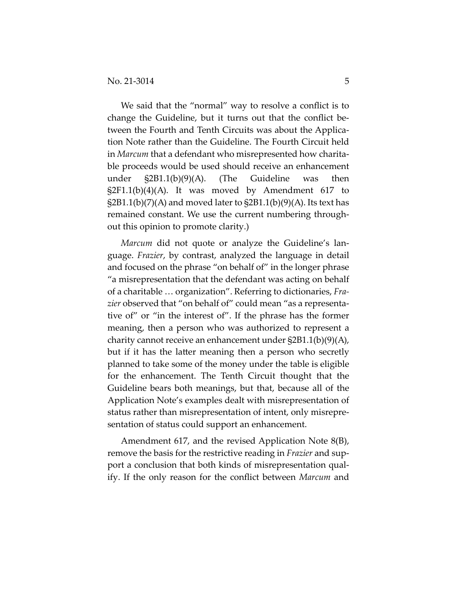We said that the "normal" way to resolve a conflict is to change the Guideline, but it turns out that the conflict between the Fourth and Tenth Circuits was about the Application Note rather than the Guideline. The Fourth Circuit held in *Marcum* that a defendant who misrepresented how charitable proceeds would be used should receive an enhancement under §2B1.1(b)(9)(A). (The Guideline was then  $\S2F1.1(b)(4)(A)$ . It was moved by Amendment 617 to  $\S2B1.1(b)(7)(A)$  and moved later to  $\S2B1.1(b)(9)(A)$ . Its text has remained constant. We use the current numbering throughout this opinion to promote clarity.)

*Marcum* did not quote or analyze the Guideline's language. *Frazier*, by contrast, analyzed the language in detail and focused on the phrase "on behalf of" in the longer phrase "a misrepresentation that the defendant was acting on behalf of a charitable … organization". Referring to dictionaries, *Frazier* observed that "on behalf of" could mean "as a representative of" or "in the interest of". If the phrase has the former meaning, then a person who was authorized to represent a charity cannot receive an enhancement under §2B1.1(b)(9)(A), but if it has the latter meaning then a person who secretly planned to take some of the money under the table is eligible for the enhancement. The Tenth Circuit thought that the Guideline bears both meanings, but that, because all of the Application Note's examples dealt with misrepresentation of status rather than misrepresentation of intent, only misrepresentation of status could support an enhancement.

Amendment 617, and the revised Application Note 8(B), remove the basis for the restrictive reading in *Frazier* and support a conclusion that both kinds of misrepresentation qualify. If the only reason for the conflict between *Marcum* and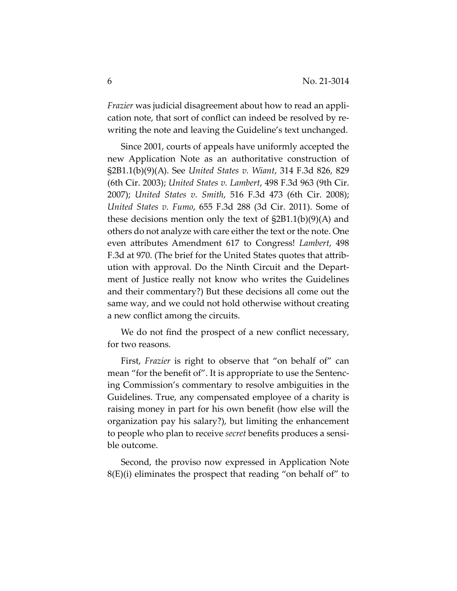*Frazier* was judicial disagreement about how to read an application note, that sort of conflict can indeed be resolved by rewriting the note and leaving the Guideline's text unchanged.

Since 2001, courts of appeals have uniformly accepted the new Application Note as an authoritative construction of §2B1.1(b)(9)(A). See *United States v. Wiant*, 314 F.3d 826, 829 (6th Cir. 2003); *United States v. Lambert*, 498 F.3d 963 (9th Cir. 2007); *United States v. Smith*, 516 F.3d 473 (6th Cir. 2008); *United States v. Fumo*, 655 F.3d 288 (3d Cir. 2011). Some of these decisions mention only the text of  $\S2B1.1(b)(9)(A)$  and others do not analyze with care either the text or the note. One even attributes Amendment 617 to Congress! *Lambert*, 498 F.3d at 970. (The brief for the United States quotes that attribution with approval. Do the Ninth Circuit and the Department of Justice really not know who writes the Guidelines and their commentary?) But these decisions all come out the same way, and we could not hold otherwise without creating a new conflict among the circuits.

We do not find the prospect of a new conflict necessary, for two reasons.

First, *Frazier* is right to observe that "on behalf of" can mean "for the benefit of". It is appropriate to use the Sentencing Commission's commentary to resolve ambiguities in the Guidelines. True, any compensated employee of a charity is raising money in part for his own benefit (how else will the organization pay his salary?), but limiting the enhancement to people who plan to receive *secret* benefits produces a sensible outcome.

Second, the proviso now expressed in Application Note 8(E)(i) eliminates the prospect that reading "on behalf of" to